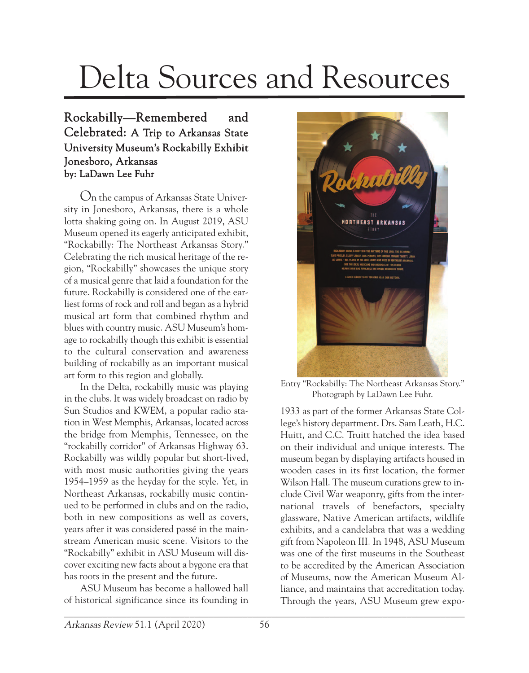## Delta Sources and Resources

## Rockabilly—Remembered and Celebrated: A Trip to Arkansas State University Museum's Rockabilly Exhibit Jonesboro, Arkansas by: LaDawn Lee Fuhr

On the campus of Arkansas State University in Jonesboro, Arkansas, there is a whole lotta shaking going on. In August 2019, ASU Museum opened its eagerly anticipated exhibit, "Rockabilly: The Northeast Arkansas Story." Celebrating the rich musical heritage of the region, "Rockabilly" showcases the unique story of a musical genre that laid a foundation for the future. Rockabilly is considered one of the earliest forms of rock and roll and began as a hybrid musical art form that combined rhythm and blues with country music. ASU Museum's homage to rockabilly though this exhibit is essential to the cultural conservation and awareness building of rockabilly as an important musical art form to this region and globally.

In the Delta, rockabilly music was playing in the clubs. It was widely broadcast on radio by Sun Studios and KWEM, a popular radio station in West Memphis, Arkansas, located across the bridge from Memphis, Tennessee, on the "rockabilly corridor" of Arkansas Highway 63. Rockabilly was wildly popular but short-lived, with most music authorities giving the years 1954–1959 as the heyday for the style. Yet, in Northeast Arkansas, rockabilly music continued to be performed in clubs and on the radio, both in new compositions as well as covers, years after it was considered passé in the mainstream American music scene. Visitors to the "Rockabilly" exhibit in ASU Museum will discover exciting new facts about a bygone era that has roots in the present and the future.

ASU Museum has become a hallowed hall of historical significance since its founding in



Entry "Rockabilly: The Northeast Arkansas Story." Photograph by LaDawn Lee Fuhr.

1933 as part of the former Arkansas State College's history department. Drs. Sam Leath, H.C. Huitt, and C.C. Truitt hatched the idea based on their individual and unique interests. The museum began by displaying artifacts housed in wooden cases in its first location, the former Wilson Hall. The museum curations grew to include Civil War weaponry, gifts from the international travels of benefactors, specialty glassware, Native American artifacts, wildlife exhibits, and a candelabra that was a wedding gift from Napoleon III. In 1948, ASU Museum was one of the first museums in the Southeast to be accredited by the American Association of Museums, now the American Museum Alliance, and maintains that accreditation today. Through the years, ASU Museum grew expo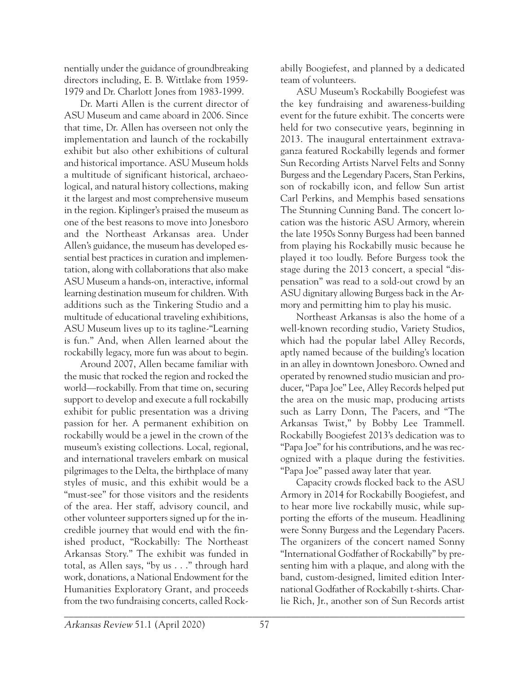nentially under the guidance of groundbreaking directors including, E. B. Wittlake from 1959- 1979 and Dr. Charlott Jones from 1983-1999.

Dr. Marti Allen is the current director of ASU Museum and came aboard in 2006. Since that time, Dr. Allen has overseen not only the implementation and launch of the rockabilly exhibit but also other exhibitions of cultural and historical importance. ASU Museum holds a multitude of significant historical, archaeological, and natural history collections, making it the largest and most comprehensive museum in the region. Kiplinger's praised the museum as one of the best reasons to move into Jonesboro and the Northeast Arkansas area. Under Allen's guidance, the museum has developed essential best practices in curation and implementation, along with collaborations that also make ASU Museum a hands-on, interactive, informal learning destination museum for children. With additions such as the Tinkering Studio and a multitude of educational traveling exhibitions, ASU Museum lives up to its tagline-"Learning is fun." And, when Allen learned about the rockabilly legacy, more fun was about to begin.

Around 2007, Allen became familiar with the music that rocked the region and rocked the world—rockabilly. From that time on, securing support to develop and execute a full rockabilly exhibit for public presentation was a driving passion for her. A permanent exhibition on rockabilly would be a jewel in the crown of the museum's existing collections. Local, regional, and international travelers embark on musical pilgrimages to the Delta, the birthplace of many styles of music, and this exhibit would be a "must-see" for those visitors and the residents of the area. Her staff, advisory council, and other volunteer supporters signed up for the incredible journey that would end with the finished product, "Rockabilly: The Northeast Arkansas Story." The exhibit was funded in total, as Allen says, "by us . . ." through hard work, donations, a National Endowment for the Humanities Exploratory Grant, and proceeds from the two fundraising concerts, called Rockabilly Boogiefest, and planned by a dedicated team of volunteers.

ASU Museum's Rockabilly Boogiefest was the key fundraising and awareness-building event for the future exhibit. The concerts were held for two consecutive years, beginning in 2013. The inaugural entertainment extravaganza featured Rockabilly legends and former Sun Recording Artists Narvel Felts and Sonny Burgess and the Legendary Pacers, Stan Perkins, son of rockabilly icon, and fellow Sun artist Carl Perkins, and Memphis based sensations The Stunning Cunning Band. The concert location was the historic ASU Armory, wherein the late 1950s Sonny Burgess had been banned from playing his Rockabilly music because he played it too loudly. Before Burgess took the stage during the 2013 concert, a special "dispensation" was read to a sold-out crowd by an ASU dignitary allowing Burgess back in the Armory and permitting him to play his music.

Northeast Arkansas is also the home of a well-known recording studio, Variety Studios, which had the popular label Alley Records, aptly named because of the building's location in an alley in downtown Jonesboro. Owned and operated by renowned studio musician and producer, "Papa Joe" Lee, Alley Records helped put the area on the music map, producing artists such as Larry Donn, The Pacers, and "The Arkansas Twist," by Bobby Lee Trammell. Rockabilly Boogiefest 2013's dedication was to "Papa Joe" for his contributions, and he was recognized with a plaque during the festivities. "Papa Joe" passed away later that year.

Capacity crowds flocked back to the ASU Armory in 2014 for Rockabilly Boogiefest, and to hear more live rockabilly music, while supporting the efforts of the museum. Headlining were Sonny Burgess and the Legendary Pacers. The organizers of the concert named Sonny "International Godfather of Rockabilly" by presenting him with a plaque, and along with the band, custom-designed, limited edition International Godfather of Rockabilly t-shirts. Charlie Rich, Jr., another son of Sun Records artist